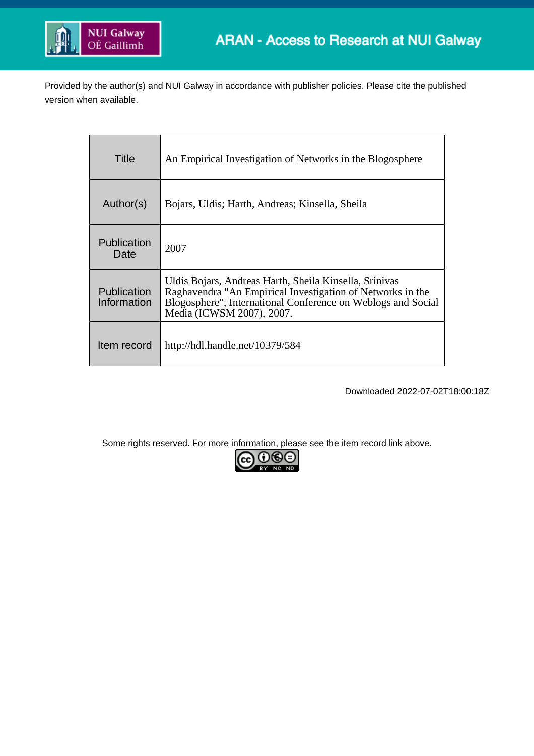

Provided by the author(s) and NUI Galway in accordance with publisher policies. Please cite the published version when available.

| Title                             | An Empirical Investigation of Networks in the Blogosphere                                                                                                                                                         |
|-----------------------------------|-------------------------------------------------------------------------------------------------------------------------------------------------------------------------------------------------------------------|
| Author(s)                         | Bojars, Uldis; Harth, Andreas; Kinsella, Sheila                                                                                                                                                                   |
| <b>Publication</b><br>Date        | 2007                                                                                                                                                                                                              |
| <b>Publication</b><br>Information | Uldis Bojars, Andreas Harth, Sheila Kinsella, Srinivas<br>Raghavendra "An Empirical Investigation of Networks in the<br>Blogosphere", International Conference on Weblogs and Social<br>Media (ICWSM 2007), 2007. |
| Item record                       | http://hdl.handle.net/10379/584                                                                                                                                                                                   |

Downloaded 2022-07-02T18:00:18Z

Some rights reserved. For more information, please see the item record link above.

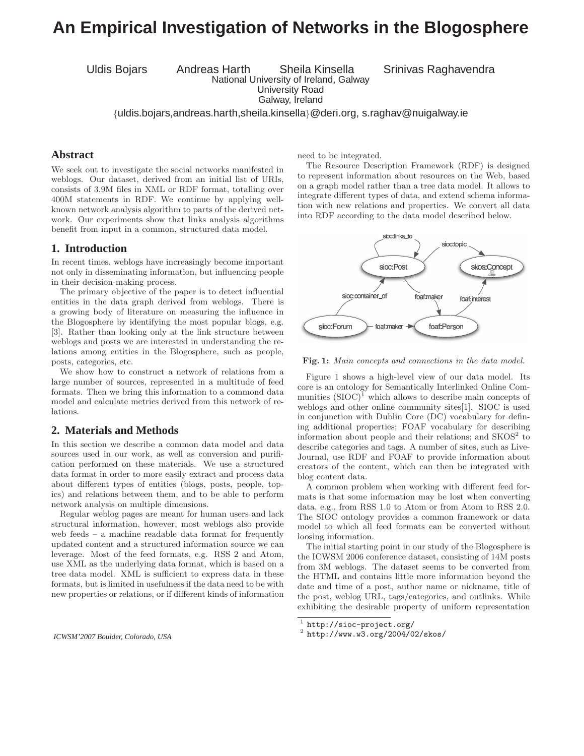# **An Empirical Investigation of Networks in the Blogosphere**

Uldis Bojars Andreas Harth Sheila Kinsella Srinivas Raghavendra National University of Ireland, Galway

University Road

Galway, Ireland

{uldis.bojars,andreas.harth,sheila.kinsella}@deri.org, s.raghav@nuigalway.ie

### **Abstract**

We seek out to investigate the social networks manifested in weblogs. Our dataset, derived from an initial list of URIs, consists of 3.9M files in XML or RDF format, totalling over 400M statements in RDF. We continue by applying wellknown network analysis algorithm to parts of the derived network. Our experiments show that links analysis algorithms benefit from input in a common, structured data model.

### **1. Introduction**

In recent times, weblogs have increasingly become important not only in disseminating information, but influencing people in their decision-making process.

The primary objective of the paper is to detect influential entities in the data graph derived from weblogs. There is a growing body of literature on measuring the influence in the Blogosphere by identifying the most popular blogs, e.g. [3]. Rather than looking only at the link structure between weblogs and posts we are interested in understanding the relations among entities in the Blogosphere, such as people, posts, categories, etc.

We show how to construct a network of relations from a large number of sources, represented in a multitude of feed formats. Then we bring this information to a commond data model and calculate metrics derived from this network of relations.

### **2. Materials and Methods**

In this section we describe a common data model and data sources used in our work, as well as conversion and purification performed on these materials. We use a structured data format in order to more easily extract and process data about different types of entities (blogs, posts, people, topics) and relations between them, and to be able to perform network analysis on multiple dimensions.

Regular weblog pages are meant for human users and lack structural information, however, most weblogs also provide web feeds – a machine readable data format for frequently updated content and a structured information source we can leverage. Most of the feed formats, e.g. RSS 2 and Atom, use XML as the underlying data format, which is based on a tree data model. XML is sufficient to express data in these formats, but is limited in usefulness if the data need to be with new properties or relations, or if different kinds of information

*ICWSM'2007 Boulder, Colorado, USA*

need to be integrated.

The Resource Description Framework (RDF) is designed to represent information about resources on the Web, based on a graph model rather than a tree data model. It allows to integrate different types of data, and extend schema information with new relations and properties. We convert all data into RDF according to the data model described below.



Fig. 1: Main concepts and connections in the data model.

Figure 1 shows a high-level view of our data model. Its core is an ontology for Semantically Interlinked Online Communities  $(SIOC)^1$  which allows to describe main concepts of weblogs and other online community sites[1]. SIOC is used in conjunction with Dublin Core (DC) vocabulary for defining additional properties; FOAF vocabulary for describing information about people and their relations; and  $SKOS<sup>2</sup>$  to describe categories and tags. A number of sites, such as Live-Journal, use RDF and FOAF to provide information about creators of the content, which can then be integrated with blog content data.

A common problem when working with different feed formats is that some information may be lost when converting data, e.g., from RSS 1.0 to Atom or from Atom to RSS 2.0. The SIOC ontology provides a common framework or data model to which all feed formats can be converted without loosing information.

The initial starting point in our study of the Blogosphere is the ICWSM 2006 conference dataset, consisting of 14M posts from 3M weblogs. The dataset seems to be converted from the HTML and contains little more information beyond the date and time of a post, author name or nickname, title of the post, weblog URL, tags/categories, and outlinks. While exhibiting the desirable property of uniform representation

 $1$  http://sioc-project.org/

<sup>2</sup> http://www.w3.org/2004/02/skos/